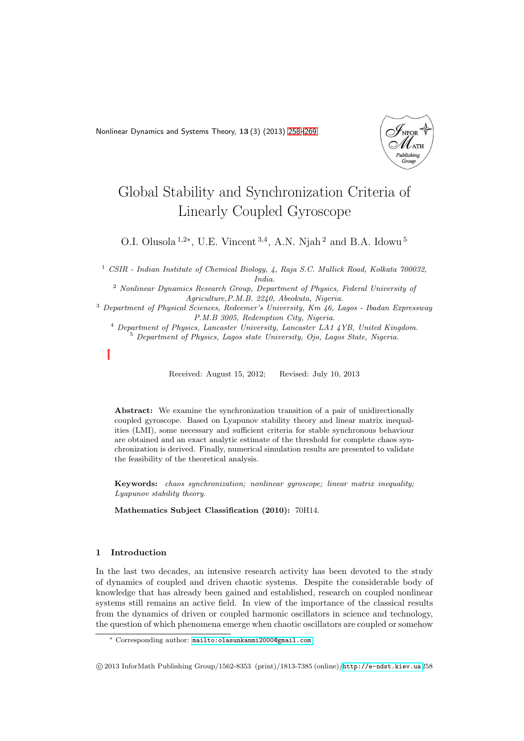<span id="page-0-0"></span>Nonlinear Dynamics and Systems Theory, 13 (3) (2013) [258–](#page-0-0)[269](#page-10-0)



# Global Stability and Synchronization Criteria of Linearly Coupled Gyroscope

O.I. Olusola<sup>1,2∗</sup>, U.E. Vincent<sup>3,4</sup>, A.N. Njah<sup>2</sup> and B.A. Idowu<sup>5</sup>

<sup>1</sup> *CSIR - Indian Institute of Chemical Biology, 4, Raja S.C. Mullick Road, Kolkata 700032, India.*

<sup>2</sup> *Nonlinear Dynamics Research Group, Department of Physics, Federal University of Agriculture,P.M.B. 2240, Abeokuta, Nigeria.*

<sup>3</sup> *Department of Physical Sciences, Redeemer's University, Km 46, Lagos - Ibadan Expressway P.M.B 3005, Redemption City, Nigeria.*

<sup>4</sup> *Department of Physics, Lancaster University, Lancaster LA1 4YB, United Kingdom.*

<sup>5</sup> *Department of Physics, Lagos state University, Ojo, Lagos State, Nigeria.*

Received: August 15, 2012; Revised: July 10, 2013

Abstract: We examine the synchronization transition of a pair of unidirectionally coupled gyroscope. Based on Lyapunov stability theory and linear matrix inequalities (LMI), some necessary and sufficient criteria for stable synchronous behaviour are obtained and an exact analytic estimate of the threshold for complete chaos synchronization is derived. Finally, numerical simulation results are presented to validate the feasibility of the theoretical analysis.

Keywords: *chaos synchronization; nonlinear gyroscope; linear matrix inequality; Lyapunov stability theory.*

Mathematics Subject Classification (2010): 70H14.

# 1 Introduction

In the last two decades, an intensive research activity has been devoted to the study of dynamics of coupled and driven chaotic systems. Despite the considerable body of knowledge that has already been gained and established, research on coupled nonlinear systems still remains an active field. In view of the importance of the classical results from the dynamics of driven or coupled harmonic oscillators in science and technology, the question of which phenomena emerge when chaotic oscillators are coupled or somehow

<sup>∗</sup> Corresponding author: [mailto:olasunkanmi2000@gmail.com](mailto: olasunkanmi2000@gmail.com)

c 2013 InforMath Publishing Group/1562-8353 (print)/1813-7385 (online)/<http://e-ndst.kiev.ua>258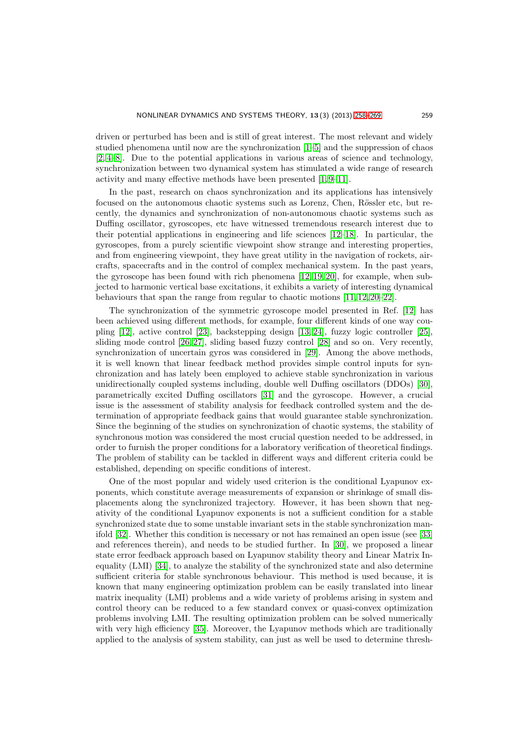driven or perturbed has been and is still of great interest. The most relevant and widely studied phenomena until now are the synchronization [\[1–](#page-10-1)[5\]](#page-10-2) and the suppression of chaos [\[2,](#page-10-3) [4](#page-10-4)[–8\]](#page-10-5). Due to the potential applications in various areas of science and technology, synchronization between two dynamical system has stimulated a wide range of research activity and many effective methods have been presented [\[1,](#page-10-1) [9](#page-10-6)[–11\]](#page-10-7).

In the past, research on chaos synchronization and its applications has intensively focused on the autonomous chaotic systems such as Lorenz, Chen, Rössler etc, but recently, the dynamics and synchronization of non-autonomous chaotic systems such as Duffing oscillator, gyroscopes, etc have witnessed tremendous research interest due to their potential applications in engineering and life sciences [\[12–](#page-10-8)[18\]](#page-10-9). In particular, the gyroscopes, from a purely scientific viewpoint show strange and interesting properties, and from engineering viewpoint, they have great utility in the navigation of rockets, aircrafts, spacecrafts and in the control of complex mechanical system. In the past years, the gyroscope has been found with rich phenomena [\[12,](#page-10-8) [19,](#page-10-10) [20\]](#page-10-11), for example, when subjected to harmonic vertical base excitations, it exhibits a variety of interesting dynamical behaviours that span the range from regular to chaotic motions [\[11,](#page-10-7) [12,](#page-10-8) [20](#page-10-11)[–22\]](#page-11-0).

The synchronization of the symmetric gyroscope model presented in Ref. [\[12\]](#page-10-8) has been achieved using different methods, for example, four different kinds of one way coupling [\[12\]](#page-10-8), active control [\[23\]](#page-11-1), backstepping design [\[13,](#page-10-12) [24\]](#page-11-2), fuzzy logic controller [\[25\]](#page-11-3), sliding mode control [\[26,](#page-11-4) [27\]](#page-11-5), sliding based fuzzy control [\[28\]](#page-11-6) and so on. Very recently, synchronization of uncertain gyros was considered in [\[29\]](#page-11-7). Among the above methods, it is well known that linear feedback method provides simple control inputs for synchronization and has lately been employed to achieve stable synchronization in various unidirectionally coupled systems including, double well Duffing oscillators (DDOs) [\[30\]](#page-11-8), parametrically excited Duffing oscillators [\[31\]](#page-11-9) and the gyroscope. However, a crucial issue is the assessment of stability analysis for feedback controlled system and the determination of appropriate feedback gains that would guarantee stable synchronization. Since the beginning of the studies on synchronization of chaotic systems, the stability of synchronous motion was considered the most crucial question needed to be addressed, in order to furnish the proper conditions for a laboratory verification of theoretical findings. The problem of stability can be tackled in different ways and different criteria could be established, depending on specific conditions of interest.

One of the most popular and widely used criterion is the conditional Lyapunov exponents, which constitute average measurements of expansion or shrinkage of small displacements along the synchronized trajectory. However, it has been shown that negativity of the conditional Lyapunov exponents is not a sufficient condition for a stable synchronized state due to some unstable invariant sets in the stable synchronization manifold [\[32\]](#page-11-10). Whether this condition is necessary or not has remained an open issue (see [\[33\]](#page-11-11) and references therein), and needs to be studied further. In [\[30\]](#page-11-8), we proposed a linear state error feedback approach based on Lyapunov stability theory and Linear Matrix Inequality (LMI) [\[34\]](#page-11-12), to analyze the stability of the synchronized state and also determine sufficient criteria for stable synchronous behaviour. This method is used because, it is known that many engineering optimization problem can be easily translated into linear matrix inequality (LMI) problems and a wide variety of problems arising in system and control theory can be reduced to a few standard convex or quasi-convex optimization problems involving LMI. The resulting optimization problem can be solved numerically with very high efficiency [\[35\]](#page-11-13). Moreover, the Lyapunov methods which are traditionally applied to the analysis of system stability, can just as well be used to determine thresh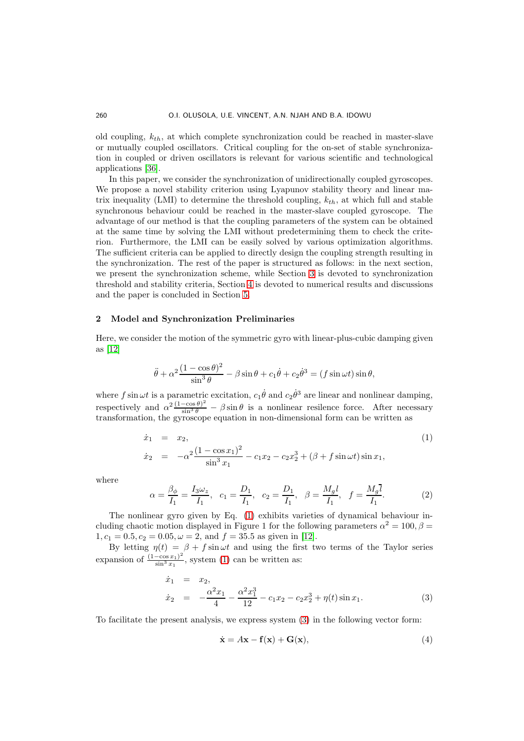old coupling,  $k_{th}$ , at which complete synchronization could be reached in master-slave or mutually coupled oscillators. Critical coupling for the on-set of stable synchronization in coupled or driven oscillators is relevant for various scientific and technological applications [\[36\]](#page-11-14).

In this paper, we consider the synchronization of unidirectionally coupled gyroscopes. We propose a novel stability criterion using Lyapunov stability theory and linear matrix inequality (LMI) to determine the threshold coupling,  $k_{th}$ , at which full and stable synchronous behaviour could be reached in the master-slave coupled gyroscope. The advantage of our method is that the coupling parameters of the system can be obtained at the same time by solving the LMI without predetermining them to check the criterion. Furthermore, the LMI can be easily solved by various optimization algorithms. The sufficient criteria can be applied to directly design the coupling strength resulting in the synchronization. The rest of the paper is structured as follows: in the next section, we present the synchronization scheme, while Section [3](#page-4-0) is devoted to synchronization threshold and stability criteria, Section [4](#page-7-0) is devoted to numerical results and discussions and the paper is concluded in Section [5.](#page-9-0)

# 2 Model and Synchronization Preliminaries

Here, we consider the motion of the symmetric gyro with linear-plus-cubic damping given as [\[12\]](#page-10-8)

$$
\ddot{\theta} + \alpha^2 \frac{(1 - \cos \theta)^2}{\sin^3 \theta} - \beta \sin \theta + c_1 \dot{\theta} + c_2 \dot{\theta}^3 = (f \sin \omega t) \sin \theta,
$$

where f sin  $\omega t$  is a parametric excitation,  $c_1 \dot{\theta}$  and  $c_2 \dot{\theta}^3$  are linear and nonlinear damping, respectively and  $\alpha^2 \frac{(1-\cos\theta)^2}{\sin^3\theta} - \beta \sin\theta$  is a nonlinear resilence force. After necessary transformation, the gyroscope equation in non-dimensional form can be written as

<span id="page-2-0"></span>
$$
\dot{x}_1 = x_2,
$$
\n
$$
\dot{x}_2 = -\alpha^2 \frac{(1 - \cos x_1)^2}{\sin^3 x_1} - c_1 x_2 - c_2 x_2^3 + (\beta + f \sin \omega t) \sin x_1,
$$
\n(1)

where

$$
\alpha = \frac{\beta_{\phi}}{I_1} = \frac{I_3 \omega_z}{I_1}, \quad c_1 = \frac{D_1}{I_1}, \quad c_2 = \frac{D_1}{I_1}, \quad \beta = \frac{M_g l}{I_1}, \quad f = \frac{M_g \overline{l}}{I_1}.
$$
 (2)

The nonlinear gyro given by Eq. [\(1\)](#page-2-0) exhibits varieties of dynamical behaviour including chaotic motion displayed in Figure 1 for the following parameters  $\alpha^2 = 100, \beta =$  $1, c_1 = 0.5, c_2 = 0.05, \omega = 2, \text{ and } f = 35.5 \text{ as given in } [12].$  $1, c_1 = 0.5, c_2 = 0.05, \omega = 2, \text{ and } f = 35.5 \text{ as given in } [12].$  $1, c_1 = 0.5, c_2 = 0.05, \omega = 2, \text{ and } f = 35.5 \text{ as given in } [12].$ 

By letting  $\eta(t) = \beta + f \sin \omega t$  and using the first two terms of the Taylor series expansion of  $\frac{(1-\cos x_1)^2}{\sin^3 x_1}$  $\frac{-\cos x_1}{\sin^3 x_1}$ , system [\(1\)](#page-2-0) can be written as:

<span id="page-2-1"></span>
$$
\dot{x}_1 = x_2,\n\dot{x}_2 = -\frac{\alpha^2 x_1}{4} - \frac{\alpha^2 x_1^3}{12} - c_1 x_2 - c_2 x_2^3 + \eta(t) \sin x_1.
$$
\n(3)

To facilitate the present analysis, we express system [\(3\)](#page-2-1) in the following vector form:

<span id="page-2-2"></span>
$$
\dot{\mathbf{x}} = A\mathbf{x} - \mathbf{f}(\mathbf{x}) + \mathbf{G}(\mathbf{x}),\tag{4}
$$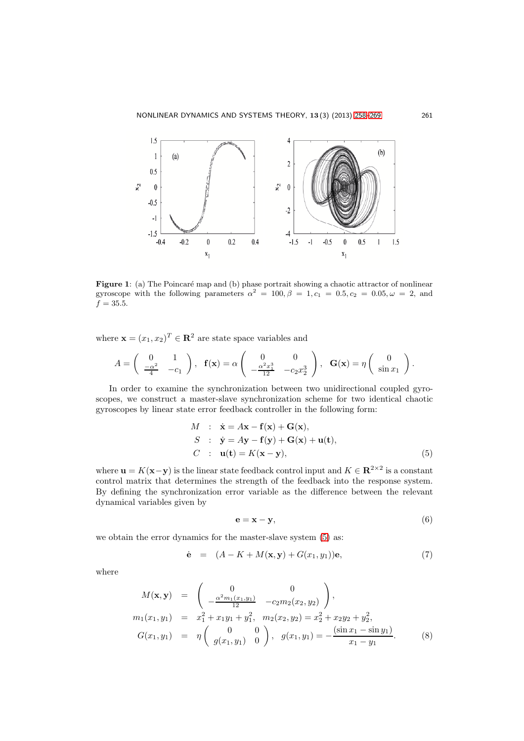

Figure 1: (a) The Poincaré map and (b) phase portrait showing a chaotic attractor of nonlinear gyroscope with the following parameters  $\alpha^2 = 100, \beta = 1, c_1 = 0.5, c_2 = 0.05, \omega = 2$ , and  $f = 35.5.$ 

where  $\mathbf{x} = (x_1, x_2)^T \in \mathbb{R}^2$  are state space variables and

$$
A = \begin{pmatrix} 0 & 1 \\ \frac{-\alpha^2}{4} & -c_1 \end{pmatrix}, \quad \mathbf{f}(\mathbf{x}) = \alpha \begin{pmatrix} 0 & 0 \\ -\frac{\alpha^2 x_1^3}{12} & -c_2 x_2^3 \end{pmatrix}, \quad \mathbf{G}(\mathbf{x}) = \eta \begin{pmatrix} 0 \\ \sin x_1 \end{pmatrix}.
$$

In order to examine the synchronization between two unidirectional coupled gyroscopes, we construct a master-slave synchronization scheme for two identical chaotic gyroscopes by linear state error feedback controller in the following form:

<span id="page-3-0"></span>
$$
M : \dot{\mathbf{x}} = A\mathbf{x} - \mathbf{f}(\mathbf{x}) + \mathbf{G}(\mathbf{x}),
$$
  
\n
$$
S : \dot{\mathbf{y}} = A\mathbf{y} - \mathbf{f}(\mathbf{y}) + \mathbf{G}(\mathbf{x}) + \mathbf{u}(\mathbf{t}),
$$
  
\n
$$
C : \mathbf{u}(\mathbf{t}) = K(\mathbf{x} - \mathbf{y}),
$$
\n(5)

where  $\mathbf{u} = K(\mathbf{x}-\mathbf{y})$  is the linear state feedback control input and  $K \in \mathbb{R}^{2 \times 2}$  is a constant control matrix that determines the strength of the feedback into the response system. By defining the synchronization error variable as the difference between the relevant dynamical variables given by

$$
\mathbf{e} = \mathbf{x} - \mathbf{y},\tag{6}
$$

we obtain the error dynamics for the master-slave system [\(5\)](#page-3-0) as:

<span id="page-3-1"></span>
$$
\dot{\mathbf{e}} = (A - K + M(\mathbf{x}, \mathbf{y}) + G(x_1, y_1))\mathbf{e}, \tag{7}
$$

where

$$
M(\mathbf{x}, \mathbf{y}) = \begin{pmatrix} 0 & 0 \\ -\frac{\alpha^2 m_1(x_1, y_1)}{12} & -c_2 m_2(x_2, y_2) \end{pmatrix},
$$
  
\n
$$
m_1(x_1, y_1) = x_1^2 + x_1 y_1 + y_1^2, \quad m_2(x_2, y_2) = x_2^2 + x_2 y_2 + y_2^2,
$$
  
\n
$$
G(x_1, y_1) = \eta \begin{pmatrix} 0 & 0 \\ g(x_1, y_1) & 0 \end{pmatrix}, \quad g(x_1, y_1) = -\frac{(\sin x_1 - \sin y_1)}{x_1 - y_1}.
$$
 (8)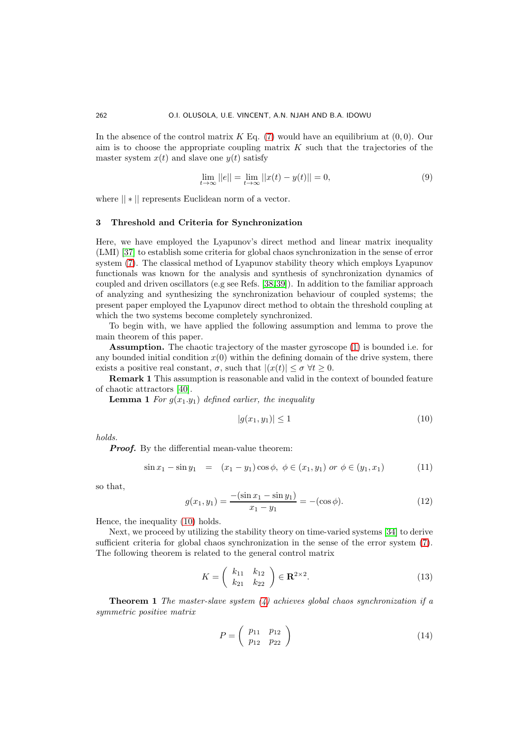In the absence of the control matrix  $K$  Eq. [\(7\)](#page-3-1) would have an equilibrium at  $(0, 0)$ . Our aim is to choose the appropriate coupling matrix  $K$  such that the trajectories of the master system  $x(t)$  and slave one  $y(t)$  satisfy

$$
\lim_{t \to \infty} ||e|| = \lim_{t \to \infty} ||x(t) - y(t)|| = 0,
$$
\n(9)

where || ∗ || represents Euclidean norm of a vector.

# <span id="page-4-0"></span>3 Threshold and Criteria for Synchronization

Here, we have employed the Lyapunov's direct method and linear matrix inequality (LMI) [\[37\]](#page-11-15) to establish some criteria for global chaos synchronization in the sense of error system [\(7\)](#page-3-1). The classical method of Lyapunov stability theory which employs Lyapunov functionals was known for the analysis and synthesis of synchronization dynamics of coupled and driven oscillators (e.g see Refs. [\[38,](#page-11-16)[39\]](#page-11-17)). In addition to the familiar approach of analyzing and synthesizing the synchronization behaviour of coupled systems; the present paper employed the Lyapunov direct method to obtain the threshold coupling at which the two systems become completely synchronized.

To begin with, we have applied the following assumption and lemma to prove the main theorem of this paper.

Assumption. The chaotic trajectory of the master gyroscope [\(1\)](#page-2-0) is bounded i.e. for any bounded initial condition  $x(0)$  within the defining domain of the drive system, there exists a positive real constant,  $\sigma$ , such that  $|(x(t)| \leq \sigma \,\forall t \geq 0$ .

Remark 1 This assumption is reasonable and valid in the context of bounded feature of chaotic attractors [\[40\]](#page-11-18).

**Lemma 1** For  $g(x_1,y_1)$  defined earlier, the inequality

<span id="page-4-1"></span>
$$
|g(x_1, y_1)| \le 1 \tag{10}
$$

holds.

**Proof.** By the differential mean-value theorem:

$$
\sin x_1 - \sin y_1 = (x_1 - y_1)\cos \phi, \ \phi \in (x_1, y_1) \ or \ \phi \in (y_1, x_1)
$$
 (11)

so that,

$$
g(x_1, y_1) = \frac{-\left(\sin x_1 - \sin y_1\right)}{x_1 - y_1} = -\left(\cos \phi\right). \tag{12}
$$

Hence, the inequality [\(10\)](#page-4-1) holds.

Next, we proceed by utilizing the stability theory on time-varied systems [\[34\]](#page-11-12) to derive sufficient criteria for global chaos synchronization in the sense of the error system [\(7\)](#page-3-1). The following theorem is related to the general control matrix

<span id="page-4-2"></span>
$$
K = \left(\begin{array}{cc} k_{11} & k_{12} \\ k_{21} & k_{22} \end{array}\right) \in \mathbf{R}^{2 \times 2}.
$$
 (13)

**Theorem 1** The master-slave system  $(4)$  achieves global chaos synchronization if a symmetric positive matrix

<span id="page-4-3"></span>
$$
P = \left(\begin{array}{cc} p_{11} & p_{12} \\ p_{12} & p_{22} \end{array}\right) \tag{14}
$$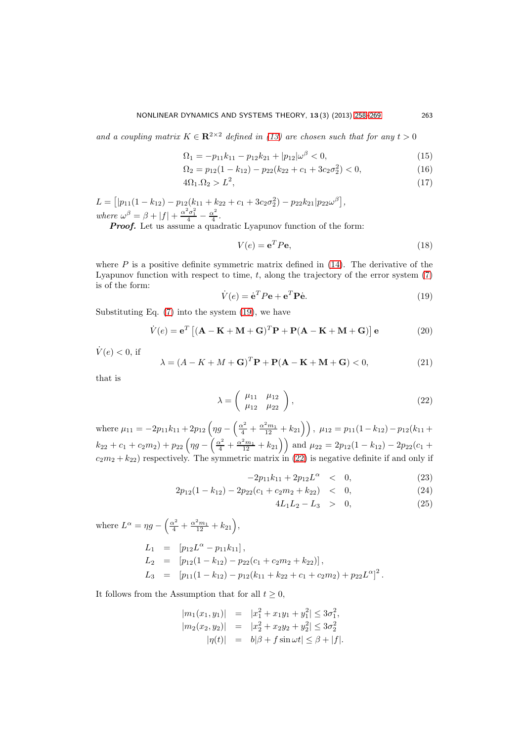and a coupling matrix  $K \in \mathbb{R}^{2 \times 2}$  defined in [\(13\)](#page-4-2) are chosen such that for any  $t > 0$ 

<span id="page-5-3"></span>
$$
\Omega_1 = -p_{11}k_{11} - p_{12}k_{21} + |p_{12}|\omega^{\beta} < 0,\tag{15}
$$

$$
\Omega_2 = p_{12}(1 - k_{12}) - p_{22}(k_{22} + c_1 + 3c_2\sigma_2^2) < 0,\tag{16}
$$

$$
4\Omega_1.\Omega_2 > L^2,\tag{17}
$$

 $L = [ |p_{11}(1 - k_{12}) - p_{12}(k_{11} + k_{22} + c_1 + 3c_2\sigma_2^2) - p_{22}k_{21}|p_{22}\omega^{\beta}],$ where  $\omega^{\beta} = \beta + |f| + \frac{\alpha^2 \sigma_1^2}{4} - \frac{\alpha^2}{4}$  $\frac{x^2}{4}$ .

**Proof.** Let us assume a quadratic Lyapunov function of the form:

$$
V(e) = \mathbf{e}^T P \mathbf{e},\tag{18}
$$

where  $P$  is a positive definite symmetric matrix defined in  $(14)$ . The derivative of the Lyapunov function with respect to time,  $t$ , along the trajectory of the error system  $(7)$ is of the form:

<span id="page-5-0"></span>
$$
\dot{V}(e) = \dot{\mathbf{e}}^T P \mathbf{e} + \mathbf{e}^T P \dot{\mathbf{e}}.\tag{19}
$$

Substituting Eq.  $(7)$  into the system  $(19)$ , we have

$$
\dot{V}(e) = \mathbf{e}^T \left[ (\mathbf{A} - \mathbf{K} + \mathbf{M} + \mathbf{G})^T \mathbf{P} + \mathbf{P} (\mathbf{A} - \mathbf{K} + \mathbf{M} + \mathbf{G}) \right] \mathbf{e}
$$
(20)

 $\dot{V}(e) < 0$ , if

$$
\lambda = (A - K + M + \mathbf{G})^T \mathbf{P} + \mathbf{P}(\mathbf{A} - \mathbf{K} + \mathbf{M} + \mathbf{G}) < 0,\tag{21}
$$

that is

<span id="page-5-1"></span>
$$
\lambda = \left(\begin{array}{cc} \mu_{11} & \mu_{12} \\ \mu_{12} & \mu_{22} \end{array}\right),\tag{22}
$$

where  $\mu_{11} = -2p_{11}k_{11} + 2p_{12} \left(\eta g - \left(\frac{\alpha^2}{4} + \frac{\alpha^2 m_1}{12} + k_{21}\right)\right)$ ,  $\mu_{12} = p_{11}(1 - k_{12}) - p_{12}(k_{11} + k_{21})$  $k_{22} + c_1 + c_2m_2$  +  $p_{22} \left( \eta g - \left( \frac{\alpha^2}{4} + \frac{\alpha^2 m_1}{12} + k_{21} \right) \right)$  and  $\mu_{22} = 2p_{12}(1 - k_{12}) - 2p_{22}(c_1 + c_2)$  $c_2m_2 + k_{22}$  respectively. The symmetric matrix in [\(22\)](#page-5-1) is negative definite if and only if

<span id="page-5-2"></span>
$$
-2p_{11}k_{11} + 2p_{12}L^{\alpha} < 0,\tag{23}
$$

$$
2p_{12}(1-k_{12})-2p_{22}(c_1+c_2m_2+k_{22}) < 0, \qquad (24)
$$

$$
4L_1L_2 - L_3 > 0, \t(25)
$$

where 
$$
L^{\alpha} = \eta g - \left(\frac{\alpha^2}{4} + \frac{\alpha^2 m_1}{12} + k_{21}\right)
$$
,  
\n
$$
L_1 = [p_{12}L^{\alpha} - p_{11}k_{11}],
$$
\n
$$
L_2 = [p_{12}(1 - k_{12}) - p_{22}(c_1 + c_2m_2 + k_{22})],
$$
\n
$$
L_3 = [p_{11}(1 - k_{12}) - p_{12}(k_{11} + k_{22} + c_1 + c_2m_2) + p_{22}L^{\alpha}]^2.
$$

It follows from the Assumption that for all  $t \geq 0$ ,

$$
|m_1(x_1, y_1)| = |x_1^2 + x_1y_1 + y_1^2| \le 3\sigma_1^2,
$$
  
\n
$$
|m_2(x_2, y_2)| = |x_2^2 + x_2y_2 + y_2^2| \le 3\sigma_2^2
$$
  
\n
$$
|\eta(t)| = b|\beta + f \sin \omega t| \le \beta + |f|.
$$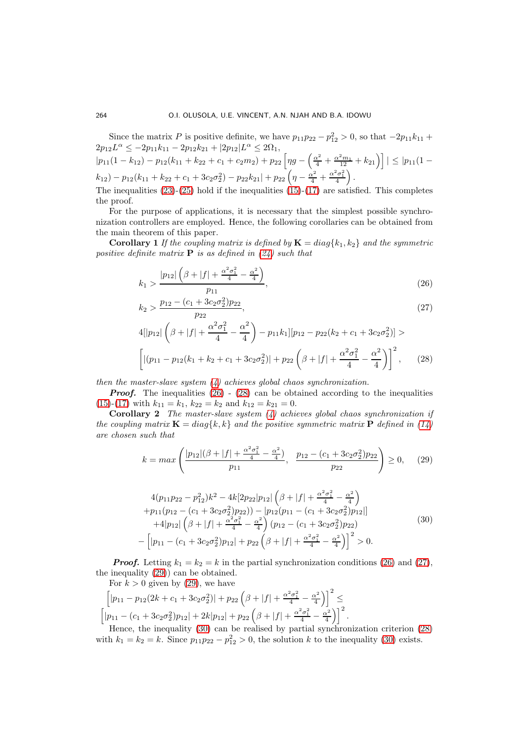Since the matrix P is positive definite, we have  $p_{11}p_{22} - p_{12}^2 > 0$ , so that  $-2p_{11}k_{11} +$  $2p_{12}L^{\alpha} \leq -2p_{11}k_{11} - 2p_{12}k_{21} + |2p_{12}|L^{\alpha} \leq 2\Omega_1,$  $|p_{11}(1 - k_{12}) - p_{12}(k_{11} + k_{22} + c_1 + c_2m_2) + p_{22}\left[\eta g - \left(\frac{\alpha^2}{4} + \frac{\alpha^2 m_1}{12} + k_{21}\right)\right]| \leq |p_{11}(1 - k_{12})|$  $(k_{12}) - p_{12}(k_{11} + k_{22} + c_1 + 3c_2\sigma_2^2) - p_{22}k_{21}| + p_{22}\left(\eta - \frac{\alpha^2}{4} + \frac{\alpha^2\sigma_1^2}{4}\right).$ The inequalities  $(23)-(25)$  $(23)-(25)$  hold if the inequalities  $(15)-(17)$  $(15)-(17)$  are satisfied. This completes

the proof. For the purpose of applications, it is necessary that the simplest possible synchronization controllers are employed. Hence, the following corollaries can be obtained from the main theorem of this paper.

**Corollary 1** If the coupling matrix is defined by  $\mathbf{K} = diag\{k_1, k_2\}$  and the symmetric positive definite matrix **P** is as defined in  $(24)$  such that

<span id="page-6-0"></span>
$$
k_1 > \frac{|p_{12}| \left(\beta + |f| + \frac{\alpha^2 \sigma_1^2}{4} - \frac{\alpha^2}{4}\right)}{p_{11}},\tag{26}
$$

$$
k_2 > \frac{p_{12} - (c_1 + 3c_2\sigma_2^2)p_{22}}{p_{22}},\tag{27}
$$

$$
4[|p_{12}|\left(\beta+|f|+\frac{\alpha^2\sigma_1^2}{4}-\frac{\alpha^2}{4}\right)-p_{11}k_1|[p_{12}-p_{22}(k_2+c_1+3c_2\sigma_2^2)]>
$$

$$
\left[|(p_{11}-p_{12}(k_1+k_2+c_1+3c_2\sigma_2^2)|+p_{22}\left(\beta+|f|+\frac{\alpha^2\sigma_1^2}{4}-\frac{\alpha^2}{4}\right)\right]^2, \qquad (28)
$$

then the master-slave system  $(4)$  achieves global chaos synchronization.

**Proof.** The inequalities  $(26) - (28)$  $(26) - (28)$  can be obtained according to the inequalities [\(15\)](#page-5-3)-[\(17\)](#page-5-3) with  $k_{11} = k_1$ ,  $k_{22} = k_2$  and  $k_{12} = k_{21} = 0$ .

**Corollary 2** The master-slave system  $(4)$  achieves global chaos synchronization if the coupling matrix  $\mathbf{K} = diag\{k, k\}$  and the positive symmetric matrix  $\mathbf{P}$  defined in [\(14\)](#page-4-3) are chosen such that

<span id="page-6-1"></span>
$$
k = \max\left(\frac{|p_{12}|(\beta + |f| + \frac{\alpha^2 \sigma_1^2}{4} - \frac{\alpha^2}{4})}{p_{11}}, \frac{p_{12} - (c_1 + 3c_2 \sigma_2^2)p_{22}}{p_{22}}\right) \ge 0, \quad (29)
$$

<span id="page-6-2"></span>
$$
4(p_{11}p_{22} - p_{12}^2)k^2 - 4k[2p_{22}|p_{12}|(\beta + |f| + \frac{\alpha^2 \sigma_1^2}{4} - \frac{\alpha^2}{4})+ p_{11}(p_{12} - (c_1 + 3c_2 \sigma_2^2)p_{22})) - |p_{12}(p_{11} - (c_1 + 3c_2 \sigma_2^2)p_{12}|]+ 4|p_{12}|(\beta + |f| + \frac{\alpha^2 \sigma_1^2}{4} - \frac{\alpha^2}{4})(p_{12} - (c_1 + 3c_2 \sigma_2^2)p_{22})- [p_{11} - (c_1 + 3c_2 \sigma_2^2)p_{12}| + p_{22}(\beta + |f| + \frac{\alpha^2 \sigma_1^2}{4} - \frac{\alpha^2}{4})]^2 > 0.
$$
\n(30)

**Proof.** Letting  $k_1 = k_2 = k$  in the partial synchronization conditions [\(26\)](#page-6-0) and [\(27\)](#page-6-0), the inequality [\(29\)](#page-6-1)) can be obtained. For  $k > 0$  given by [\(29\)](#page-6-1), we have

$$
\[ |p_{11} - p_{12}(2k + c_1 + 3c_2\sigma_2^2)| + p_{22}\left(\beta + |f| + \frac{\alpha^2\sigma_1^2}{4} - \frac{\alpha^2}{4}\right) \]^{2} \leq
$$
  

$$
\[ |p_{11} - (c_1 + 3c_2\sigma_2^2)p_{12}| + 2k|p_{12}| + p_{22}\left(\beta + |f| + \frac{\alpha^2\sigma_1^2}{4} - \frac{\alpha^2}{4}\right) \]^{2}.
$$

Hence, the inequality [\(30\)](#page-6-2) can be realised by partial synchronization criterion [\(28\)](#page-6-0) with  $k_1 = k_2 = k$ . Since  $p_{11}p_{22} - p_{12}^2 > 0$ , the solution k to the inequality [\(30\)](#page-6-2) exists.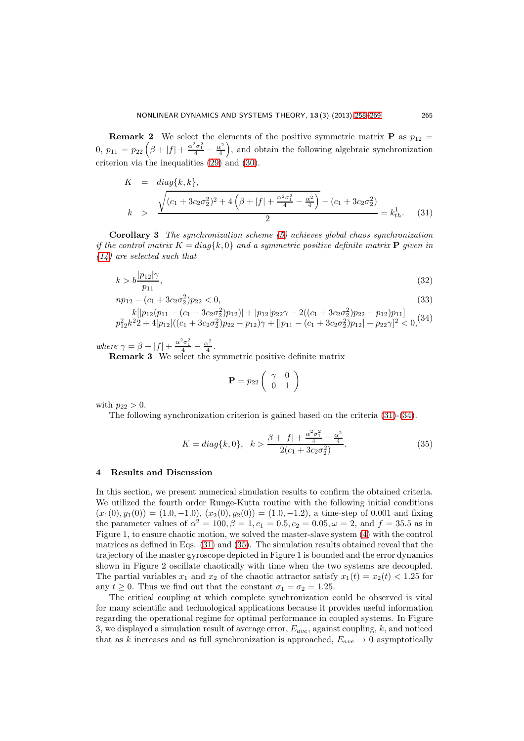**Remark 2** We select the elements of the positive symmetric matrix **P** as  $p_{12}$  = 0,  $p_{11} = p_{22} \left( \beta + |f| + \frac{\alpha^2 \sigma_1^2}{4} - \frac{\alpha^2}{4} \right)$  $\left(\frac{x^2}{4}\right)$ , and obtain the following algebraic synchronization criterion via the inequalities [\(29\)](#page-6-1) and [\(30\)](#page-6-2).

<span id="page-7-1"></span>
$$
K = diag\{k, k\},
$$
\n
$$
\sqrt{(c_1 + 3c_2\sigma_2^2)^2 + 4\left(\beta + |f| + \frac{\alpha^2\sigma_1^2}{4} - \frac{\alpha^2}{4}\right)} - (c_1 + 3c_2\sigma_2^2)
$$
\n
$$
k > \frac{\sqrt{(c_1 + 3c_2\sigma_2^2)^2 + 4\left(\beta + |f| + \frac{\alpha^2\sigma_1^2}{4} - \frac{\alpha^2}{4}\right)} - (c_1 + 3c_2\sigma_2^2)}{2} = k_{th}^1.
$$
\n(31)

Corollary 3 The synchronization scheme [\(5\)](#page-3-0) achieves global chaos synchronization if the control matrix  $K = diag\{k, 0\}$  and a symmetric positive definite matrix **P** given in [\(14\)](#page-4-3) are selected such that

<span id="page-7-2"></span>
$$
k > b \frac{|p_{12}|\gamma}{p_{11}},\tag{32}
$$

 $np_{12} - (c_1 + 3c_2\sigma_2^2)p_{22} < 0,$  (33)

$$
k[|p_{12}(p_{11} - (c_1 + 3c_2\sigma_2^2)p_{12})| + |p_{12}|p_{22}\gamma - 2((c_1 + 3c_2\sigma_2^2)p_{22} - p_{12})p_{11}]
$$
  

$$
p_{12}^2k^2 + 4|p_{12}|((c_1 + 3c_2\sigma_2^2)p_{22} - p_{12})\gamma + [|p_{11} - (c_1 + 3c_2\sigma_2^2)p_{12}| + p_{22}\gamma]^2 < 0,
$$
<sup>(34)</sup>

where  $\gamma = \beta + |f| + \frac{\alpha^2 \sigma_1^2}{4} - \frac{\alpha^2}{4}$  $\frac{x^2}{4}$ .

**Remark 3** We select the symmetric positive definite matrix

$$
\mathbf{P} = p_{22} \left( \begin{array}{cc} \gamma & 0 \\ 0 & 1 \end{array} \right)
$$

with  $p_{22} > 0$ .

The following synchronization criterion is gained based on the criteria [\(31\)](#page-7-1)-[\(34\)](#page-7-2).

<span id="page-7-3"></span>
$$
K = diag\{k, 0\}, \quad k > \frac{\beta + |f| + \frac{\alpha^2 \sigma_1^2}{4} - \frac{\alpha^2}{4}}{2(c_1 + 3c_2 \sigma_2^2)}.
$$
\n
$$
(35)
$$

### <span id="page-7-0"></span>4 Results and Discussion

In this section, we present numerical simulation results to confirm the obtained criteria. We utilized the fourth order Runge-Kutta routine with the following initial conditions  $(x_1(0), y_1(0)) = (1.0, -1.0), (x_2(0), y_2(0)) = (1.0, -1.2),$  a time-step of 0.001 and fixing the parameter values of  $\alpha^2 = 100$ ,  $\beta = 1$ ,  $c_1 = 0.5$ ,  $c_2 = 0.05$ ,  $\omega = 2$ , and  $f = 35.5$  as in Figure 1, to ensure chaotic motion, we solved the master-slave system [\(4\)](#page-2-2) with the control matrices as defined in Eqs. [\(31\)](#page-7-1) and [\(35\)](#page-7-3). The simulation results obtained reveal that the trajectory of the master gyroscope depicted in Figure 1 is bounded and the error dynamics shown in Figure 2 oscillate chaotically with time when the two systems are decoupled. The partial variables  $x_1$  and  $x_2$  of the chaotic attractor satisfy  $x_1(t) = x_2(t) < 1.25$  for any  $t \geq 0$ . Thus we find out that the constant  $\sigma_1 = \sigma_2 = 1.25$ .

The critical coupling at which complete synchronization could be observed is vital for many scientific and technological applications because it provides useful information regarding the operational regime for optimal performance in coupled systems. In Figure 3, we displayed a simulation result of average error,  $E_{ave}$ , against coupling, k, and noticed that as k increases and as full synchronization is approached,  $E_{ave} \rightarrow 0$  asymptotically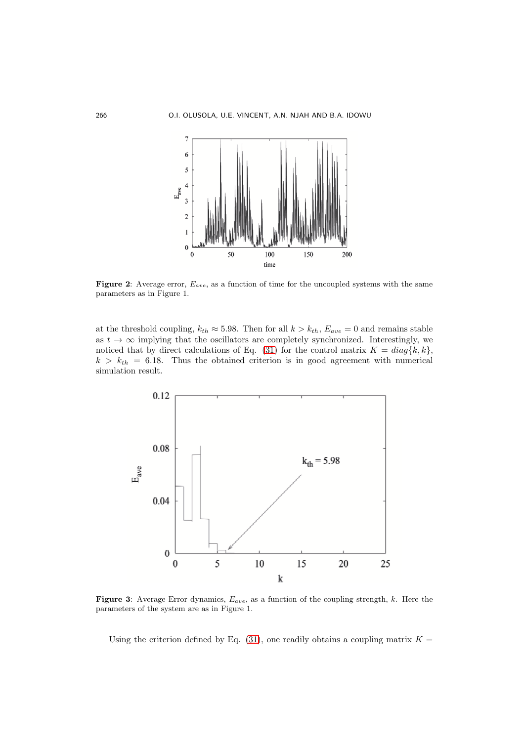

Figure 2: Average error,  $E_{ave}$ , as a function of time for the uncoupled systems with the same parameters as in Figure 1.

at the threshold coupling,  $k_{th} \approx 5.98$ . Then for all  $k > k_{th}$ ,  $E_{ave} = 0$  and remains stable as  $t \to \infty$  implying that the oscillators are completely synchronized. Interestingly, we noticed that by direct calculations of Eq. [\(31\)](#page-7-1) for the control matrix  $K = diag\{k, k\},\$  $k > k_{th} = 6.18$ . Thus the obtained criterion is in good agreement with numerical simulation result.



**Figure 3:** Average Error dynamics,  $E_{ave}$ , as a function of the coupling strength, k. Here the parameters of the system are as in Figure 1.

Using the criterion defined by Eq. [\(31\)](#page-7-1), one readily obtains a coupling matrix  $K =$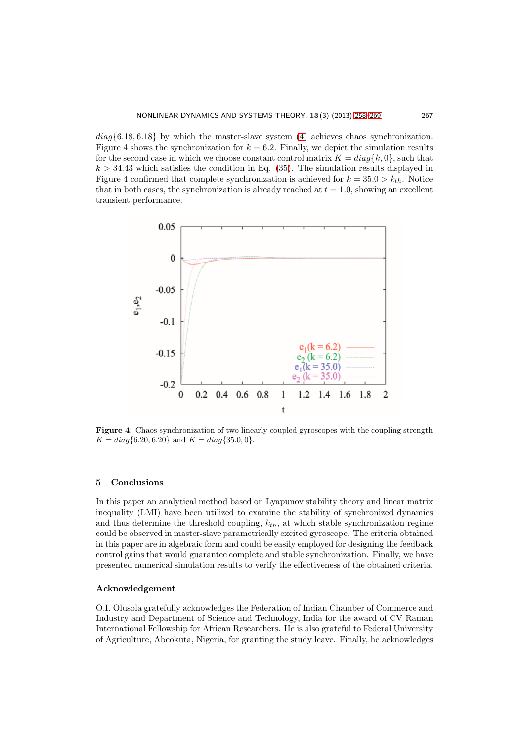$diag\{6.18, 6.18\}$  by which the master-slave system [\(4\)](#page-2-2) achieves chaos synchronization. Figure 4 shows the synchronization for  $k = 6.2$ . Finally, we depict the simulation results for the second case in which we choose constant control matrix  $K = diag{k, 0}$ , such that  $k > 34.43$  which satisfies the condition in Eq. [\(35\)](#page-7-3). The simulation results displayed in Figure 4 confirmed that complete synchronization is achieved for  $k = 35.0 > k_{th}$ . Notice that in both cases, the synchronization is already reached at  $t = 1.0$ , showing an excellent transient performance.



Figure 4: Chaos synchronization of two linearly coupled gyroscopes with the coupling strength  $K = diag\{6.20, 6.20\}$  and  $K = diag\{35.0, 0\}.$ 

#### <span id="page-9-0"></span>5 Conclusions

In this paper an analytical method based on Lyapunov stability theory and linear matrix inequality (LMI) have been utilized to examine the stability of synchronized dynamics and thus determine the threshold coupling,  $k_{th}$ , at which stable synchronization regime could be observed in master-slave parametrically excited gyroscope. The criteria obtained in this paper are in algebraic form and could be easily employed for designing the feedback control gains that would guarantee complete and stable synchronization. Finally, we have presented numerical simulation results to verify the effectiveness of the obtained criteria.

### Acknowledgement

O.I. Olusola gratefully acknowledges the Federation of Indian Chamber of Commerce and Industry and Department of Science and Technology, India for the award of CV Raman International Fellowship for African Researchers. He is also grateful to Federal University of Agriculture, Abeokuta, Nigeria, for granting the study leave. Finally, he acknowledges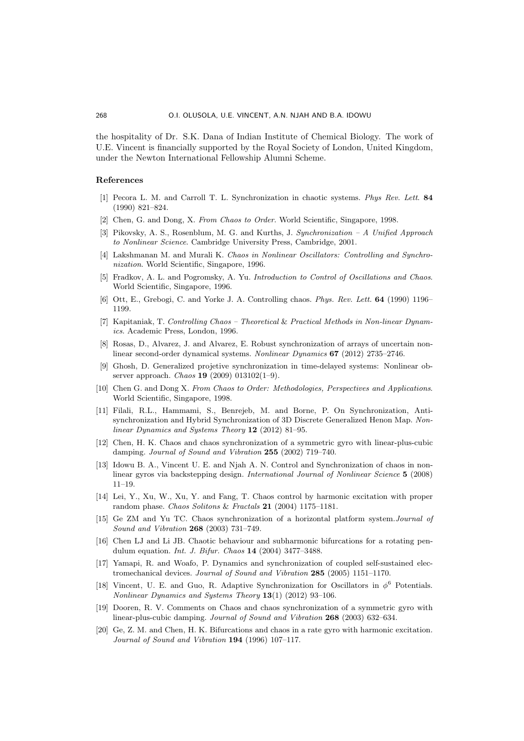the hospitality of Dr. S.K. Dana of Indian Institute of Chemical Biology. The work of U.E. Vincent is financially supported by the Royal Society of London, United Kingdom, under the Newton International Fellowship Alumni Scheme.

# <span id="page-10-1"></span><span id="page-10-0"></span>References

- [1] Pecora L. M. and Carroll T. L. Synchronization in chaotic systems. *Phys Rev. Lett*. 84 (1990) 821–824.
- <span id="page-10-3"></span>[2] Chen, G. and Dong, X. *From Chaos to Order*. World Scientific, Singapore, 1998.
- [3] Pikovsky, A. S., Rosenblum, M. G. and Kurths, J. *Synchronization A Unified Approach to Nonlinear Science*. Cambridge University Press, Cambridge, 2001.
- <span id="page-10-4"></span>[4] Lakshmanan M. and Murali K. *Chaos in Nonlinear Oscillators: Controlling and Synchronization*. World Scientific, Singapore, 1996.
- <span id="page-10-2"></span>[5] Fradkov, A. L. and Pogromsky, A. Yu. *Introduction to Control of Oscillations and Chaos*. World Scientific, Singapore, 1996.
- [6] Ott, E., Grebogi, C. and Yorke J. A. Controlling chaos. *Phys. Rev. Lett.* 64 (1990) 1196– 1199.
- [7] Kapitaniak, T. *Controlling Chaos Theoretical* & *Practical Methods in Non-linear Dynamics*. Academic Press, London, 1996.
- <span id="page-10-5"></span>[8] Rosas, D., Alvarez, J. and Alvarez, E. Robust synchronization of arrays of uncertain nonlinear second-order dynamical systems. *Nonlinear Dynamics* 67 (2012) 2735–2746.
- <span id="page-10-6"></span>[9] Ghosh, D. Generalized projetive synchronization in time-delayed systems: Nonlinear observer approach. *Chaos* 19 (2009) 013102(1–9).
- [10] Chen G. and Dong X. *From Chaos to Order: Methodologies, Perspectives and Applications*. World Scientific, Singapore, 1998.
- <span id="page-10-7"></span>[11] Filali, R.L., Hammami, S., Benrejeb, M. and Borne, P. On Synchronization, Antisynchronization and Hybrid Synchronization of 3D Discrete Generalized Henon Map. *Nonlinear Dynamics and Systems Theory* 12 (2012) 81–95.
- <span id="page-10-8"></span>[12] Chen, H. K. Chaos and chaos synchronization of a symmetric gyro with linear-plus-cubic damping. *Journal of Sound and Vibration* 255 (2002) 719–740.
- <span id="page-10-12"></span>[13] Idowu B. A., Vincent U. E. and Njah A. N. Control and Synchronization of chaos in nonlinear gyros via backstepping design. *International Journal of Nonlinear Science* 5 (2008) 11–19.
- [14] Lei, Y., Xu, W., Xu, Y. and Fang, T. Chaos control by harmonic excitation with proper random phase. *Chaos Solitons* & *Fractals* 21 (2004) 1175–1181.
- [15] Ge ZM and Yu TC. Chaos synchronization of a horizontal platform system.*Journal of Sound and Vibration* 268 (2003) 731–749.
- [16] Chen LJ and Li JB. Chaotic behaviour and subharmonic bifurcations for a rotating pendulum equation. *Int. J. Bifur. Chaos* 14 (2004) 3477–3488.
- [17] Yamapi, R. and Woafo, P. Dynamics and synchronization of coupled self-sustained electromechanical devices. *Journal of Sound and Vibration* 285 (2005) 1151–1170.
- <span id="page-10-9"></span>[18] Vincent, U. E. and Guo, R. Adaptive Synchronization for Oscillators in  $\phi^6$  Potentials. *Nonlinear Dynamics and Systems Theory* 13(1) (2012) 93–106.
- <span id="page-10-10"></span>[19] Dooren, R. V. Comments on Chaos and chaos synchronization of a symmetric gyro with linear-plus-cubic damping. *Journal of Sound and Vibration* 268 (2003) 632–634.
- <span id="page-10-11"></span>[20] Ge, Z. M. and Chen, H. K. Bifurcations and chaos in a rate gyro with harmonic excitation. *Journal of Sound and Vibration* 194 (1996) 107–117.